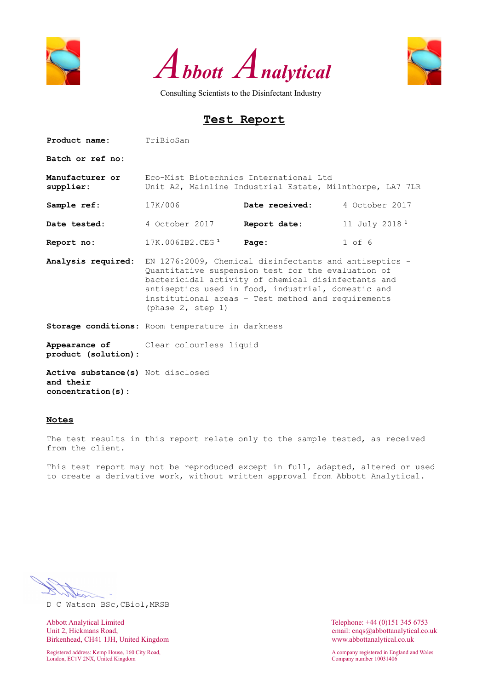





## **Test Report**

Product name: TriBioSan **Batch or ref no: Manufacturer or supplier:** Eco-Mist Biotechnics International Ltd Unit A2, Mainline Industrial Estate, Milnthorpe, LA7 7LR **Sample ref:** 17K/006 **Date received:** 4 October 2017 **Date tested:** 4 October 2017 **Report date:** 11 July 2018<sup>1</sup> **Report no:** 17K.006IB2.CEG**<sup>1</sup> Page:** 1 of 6 **Analysis required:** EN 1276:2009, Chemical disinfectants and antiseptics - Quantitative suspension test for the evaluation of bactericidal activity of chemical disinfectants and antiseptics used in food, industrial, domestic and institutional areas – Test method and requirements (phase 2, step 1) **Storage conditions:** Room temperature in darkness **Appearance of product (solution):** Clear colourless liquid **Active substance(s)**  Not disclosed **and their concentration(s):**

#### **Notes**

The test results in this report relate only to the sample tested, as received from the client.

This test report may not be reproduced except in full, adapted, altered or used to create a derivative work, without written approval from Abbott Analytical.

D C Watson BSc,CBiol,MRSB

Abbott Analytical Limited Telephone: +44 (0)151 345 6753<br>
Unit 2, Hickmans Road, email: engs@abbottanalytical.co. Birkenhead, CH41 1JH, United Kingdom www.abbottanalytical.co.uk

Registered address: Kemp House, 160 City Road, A company registered in England and Wales London, EC1V 2NX, United Kingdom Company number 10031406

email: enqs@abbottanalytical.co.uk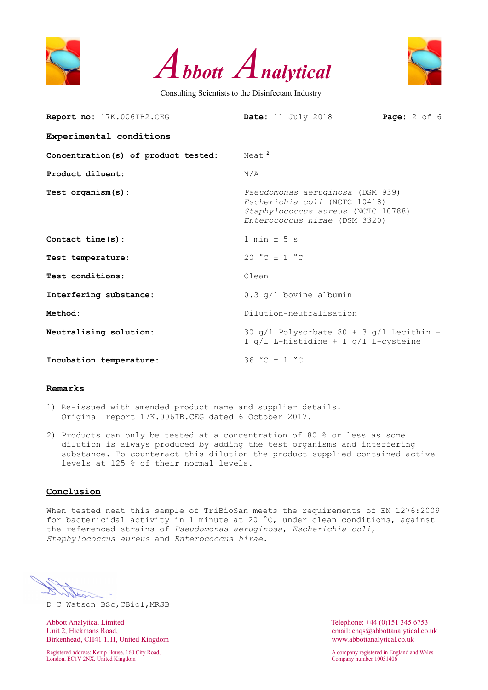





| Report no: 17K.006IB2.CEG           | <b>Page:</b> $2$ of $6$<br>$\text{Date}:$ 11 July 2018                                                                                   |  |  |  |  |  |  |  |  |
|-------------------------------------|------------------------------------------------------------------------------------------------------------------------------------------|--|--|--|--|--|--|--|--|
| Experimental conditions             |                                                                                                                                          |  |  |  |  |  |  |  |  |
| Concentration(s) of product tested: | Neat <sup>2</sup>                                                                                                                        |  |  |  |  |  |  |  |  |
| Product diluent:                    | N/A                                                                                                                                      |  |  |  |  |  |  |  |  |
| Test organism(s):                   | Pseudomonas aeruginosa (DSM 939)<br>Escherichia coli (NCTC 10418)<br>Staphylococcus aureus (NCTC 10788)<br>Enterococcus hirae (DSM 3320) |  |  |  |  |  |  |  |  |
| Contact $time(s)$ :                 | $1 min + 5 s$                                                                                                                            |  |  |  |  |  |  |  |  |
| Test temperature:                   | 20 °C $\pm$ 1 °C                                                                                                                         |  |  |  |  |  |  |  |  |
| Test conditions:                    | Clean                                                                                                                                    |  |  |  |  |  |  |  |  |
| Interfering substance:              | $0.3$ q/l bovine albumin                                                                                                                 |  |  |  |  |  |  |  |  |
| Method:                             | Dilution-neutralisation                                                                                                                  |  |  |  |  |  |  |  |  |
| Neutralising solution:              | 30 $q/l$ Polysorbate 80 + 3 $q/l$ Lecithin +<br>1 $q/l$ L-histidine + 1 $q/l$ L-cysteine                                                 |  |  |  |  |  |  |  |  |
| Incubation temperature:             | 36 °C ± 1 °C                                                                                                                             |  |  |  |  |  |  |  |  |

#### **Remarks**

- 1) Re-issued with amended product name and supplier details. Original report 17K.006IB.CEG dated 6 October 2017.
- 2) Products can only be tested at a concentration of 80 % or less as some dilution is always produced by adding the test organisms and interfering substance. To counteract this dilution the product supplied contained active levels at 125 % of their normal levels.

### **Conclusion**

When tested neat this sample of TriBioSan meets the requirements of EN 1276:2009 for bactericidal activity in 1 minute at 20 °C, under clean conditions, against the referenced strains of *Pseudomonas aeruginosa*, *Escherichia coli*, *Staphylococcus aureus* and *Enterococcus hirae*.

D C Watson BSc,CBiol,MRSB

Abbott Analytical Limited Telephone: +44 (0)151 345 6753<br>
Unit 2, Hickmans Road, email: engs@abbottanalytical.co. Birkenhead, CH41 1JH, United Kingdom www.abbottanalytical.co.uk

London, EC1V 2NX, United Kingdom Company number 10031406

email: enqs@abbottanalytical.co.uk

Registered address: Kemp House, 160 City Road, A company registered in England and Wales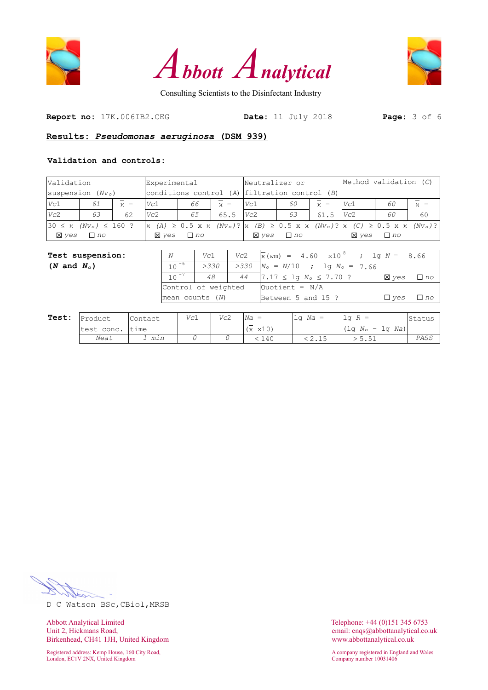





**Report no:** 17K.006IB2.CEG **Date:** 11 July 2018 **Page:** 3 of 6

### **Results:** *Pseudomonas aeruginosa* **(DSM 939)**

#### **Validation and controls:**

| Validation                   |                    |                     | Experimental |                        |                           | Neutralizer or |                                                                                                                                                  |                           | Method validation (C)           |           |                     |  |
|------------------------------|--------------------|---------------------|--------------|------------------------|---------------------------|----------------|--------------------------------------------------------------------------------------------------------------------------------------------------|---------------------------|---------------------------------|-----------|---------------------|--|
|                              | suspension $(Nvo)$ |                     |              |                        |                           |                | conditions control (A) $ $ filtration control (B)                                                                                                |                           |                                 |           |                     |  |
| Vc1                          | 61                 | $\overline{\chi}$ = | Vc1          | 66                     | $\overline{\mathbf{x}}$ = | Vc1            | 60                                                                                                                                               | $\overline{\mathbf{x}}$ = | Vc1                             | 60        | $\overline{\chi}$ = |  |
| Vc2                          | 63                 | 62                  | Vc2          | 65                     | 65.5                      | Vc2            | 63                                                                                                                                               | 61.5                      | Vc2                             | 60        | 60                  |  |
| $30 \leq \overline{x}$       | $(Nv_0) \le 160$ ? |                     | $ \chi $     | $(A) \ge 0.5 \times x$ |                           |                | $(NV_0)$ ? $\overline{x}$ (B) $\geq$ 0.5 x $\overline{x}$ (Nv <sub>o</sub> )? $\overline{x}$ (C) $\geq$ 0.5 x $\overline{x}$ (Nv <sub>o</sub> )? |                           |                                 |           |                     |  |
| <b>X</b> yes                 | $\Box$ no          |                     | <b>X</b> yes | $\Box$ no              |                           |                | $\boxtimes$ ves $\Box$ no                                                                                                                        |                           | <b>X</b> yes                    | $\Box$ no |                     |  |
|                              |                    |                     |              |                        |                           |                |                                                                                                                                                  |                           |                                 |           |                     |  |
| Test suspension:             |                    |                     | N            | Vc1                    | Vc2                       |                | $ \overline{x}(\text{wm})  = 4.60 \times 10^8$ ; lg N =                                                                                          |                           |                                 |           | 8.66                |  |
| $(N \text{ and } N_{\circ})$ |                    |                     | 10           | $-6$                   | >330                      | >330           |                                                                                                                                                  |                           | $ N_o = N/10$ ; lg $N_o = 7.66$ |           |                     |  |

|  |                     | $>$ 330   $>$ 330  N <sub>0</sub> = N/IU ; IQ N <sub>0</sub> = 1.66 |                      |      |
|--|---------------------|---------------------------------------------------------------------|----------------------|------|
|  |                     | 48   44   7.17 $\leq$ 1q $N_o \leq 7.70$ ?                          | X ves                | ∃ nc |
|  | Control of weighted | $Quotient = N/A$                                                    |                      |      |
|  | mean counts (N)     | Between 5 and 15 ?                                                  | $\Box$ ves $\Box$ no |      |

| Test: | Product    | 'Contact | Vc1 | Vc2 | $ Na  =$                               | $1\sigma$ Na = | ,lq $R =$            | Status |
|-------|------------|----------|-----|-----|----------------------------------------|----------------|----------------------|--------|
|       | test conc. | 'time    |     |     | $\overline{\phantom{a}}$<br>x10)<br>Ιх |                | $(\lg N_o - \lg Na)$ |        |
|       | Neat       | min      |     |     | 140                                    | 2.IJ           | <u>J.JI</u>          | PASS   |

D C Watson BSc,CBiol,MRSB

Abbott Analytical Limited<br>
Unit 2, Hickmans Road,<br>
Unit 2, Hickmans Road,<br>
Conservation of the Maria Conservation of the Maria Conservation of the Maria Conservation of the Maria Conservation of the Maria Conservation of t Birkenhead, CH41 1JH, United Kingdom www.abbottanalytical.co.uk

London, EC1V 2NX, United Kingdom

email: enqs@abbottanalytical.co.uk

Registered address: Kemp House, 160 City Road, A company registered in England and Wales<br>
London, EC1V 2NX, United Kingdom<br>
A company number 10031406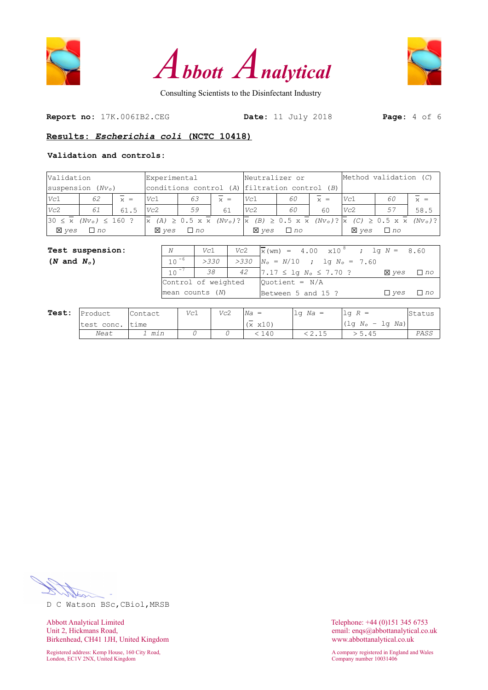





**Report no:** 17K.006IB2.CEG **Date:** 11 July 2018 **Page:** 4 of 6

## **Results:** *Escherichia coli* **(NCTC 10418)**

### **Validation and controls:**

| Validation                                                                |                  |                     |         | Experimental      | Neutralizer or       |                     |                                                   |                                        | Method validation (C)                                                                                                                                 |  |                        |                   |                   |                     |
|---------------------------------------------------------------------------|------------------|---------------------|---------|-------------------|----------------------|---------------------|---------------------------------------------------|----------------------------------------|-------------------------------------------------------------------------------------------------------------------------------------------------------|--|------------------------|-------------------|-------------------|---------------------|
| suspension $(Nvo)$                                                        |                  |                     |         |                   |                      |                     | conditions control $(A)$ filtration control $(B)$ |                                        |                                                                                                                                                       |  |                        |                   |                   |                     |
| Vc1                                                                       | 62               | $\overline{\chi}$ = | Vc1     |                   | 63                   | $\overline{\chi}$ = |                                                   | Vc1                                    | 60                                                                                                                                                    |  | $\overline{\chi}$ =    | Vc1               | 60                | $\overline{\chi}$ = |
| Vc2                                                                       | 61               | 61.5                | Vc2     |                   | 59                   | 61                  |                                                   | Vc2                                    | 60                                                                                                                                                    |  | 60                     | Vc2               | 57                | 58.5                |
| $30 \le \bar{x}$ (Nv <sub>o</sub> ) $\le 160$ ?<br>$\overline{\varkappa}$ |                  |                     |         |                   |                      |                     |                                                   |                                        | $(A) \ge 0.5 \times \overline{x}$ (Nv <sub>o</sub> )? $x$ (B) $\ge 0.5 \times \overline{x}$ (Nv <sub>o</sub> )? $x$ (C) $\ge 0.5 \times \overline{x}$ |  |                        |                   | $(Nvo)$ ?         |                     |
| <b>X</b> yes                                                              | $\Box$ no        |                     |         | <b>X</b> yes      | $\Box$ no            |                     |                                                   | $\boxtimes$ yes                        | $\Box$ no                                                                                                                                             |  |                        | $\boxtimes$ yes   | $\Box$ no         |                     |
|                                                                           |                  |                     |         |                   |                      |                     |                                                   |                                        |                                                                                                                                                       |  |                        |                   |                   |                     |
|                                                                           | Test suspension: |                     |         | N                 | Vc2<br>Vc1           |                     |                                                   | $\bar{x}$ (wm) = 4.00 $\times 10^{-8}$ |                                                                                                                                                       |  |                        |                   | ; lq $N =$        | 8.60                |
| $(N \text{ and } N_{\circ})$                                              |                  |                     |         | $10^{-6}$<br>>330 |                      |                     | >330                                              |                                        | $N_{\rm o} = N/10$                                                                                                                                    |  |                        | ; lq $N_o = 7.60$ |                   |                     |
|                                                                           |                  |                     |         |                   | $10^{-7}$<br>38      |                     | 42                                                | $7.17 \leq \text{lg } N_o \leq 7.70$ ? |                                                                                                                                                       |  |                        |                   | <b>X</b> yes      | $\Box$ no           |
|                                                                           |                  |                     |         |                   | Control of weighted  |                     |                                                   | Ouotient = $N/A$                       |                                                                                                                                                       |  |                        |                   |                   |                     |
|                                                                           |                  |                     |         |                   | $ mean$ counts $(N)$ |                     |                                                   |                                        |                                                                                                                                                       |  | Between 5 and 15 ?     |                   | $\Box$ yes        | $\Box$ no           |
|                                                                           |                  |                     |         |                   |                      |                     |                                                   |                                        |                                                                                                                                                       |  |                        |                   |                   |                     |
| Test:                                                                     | Product.         |                     | Contact |                   | Vc1                  | Vc2                 |                                                   | $Na =$                                 |                                                                                                                                                       |  | $\vert$ lq <i>Na</i> = | $\log R =$        |                   | Status              |
|                                                                           | test conc.       | time                |         |                   |                      |                     |                                                   | $(x \times 10)$                        |                                                                                                                                                       |  |                        |                   | $(1q No - 1q Na)$ |                     |

14 14 *Neat 1 min 0 0* < 140 < 2.15 > 5.45 *PASS*

D C Watson BSc,CBiol,MRSB

Abbott Analytical Limited<br>
Unit 2, Hickmans Road,<br>
Unit 2, Hickmans Road,<br>
Conservation of the Maria Conservation of the Maria Conservation of the Maria Conservation of the Maria Conservation of the Maria Conservation of t Birkenhead, CH41 1JH, United Kingdom www.abbottanalytical.co.uk

London, EC1V 2NX, United Kingdom

email: enqs@abbottanalytical.co.uk

Registered address: Kemp House, 160 City Road, A company registered in England and Wales<br>
London, EC1V 2NX, United Kingdom<br>
A company number 10031406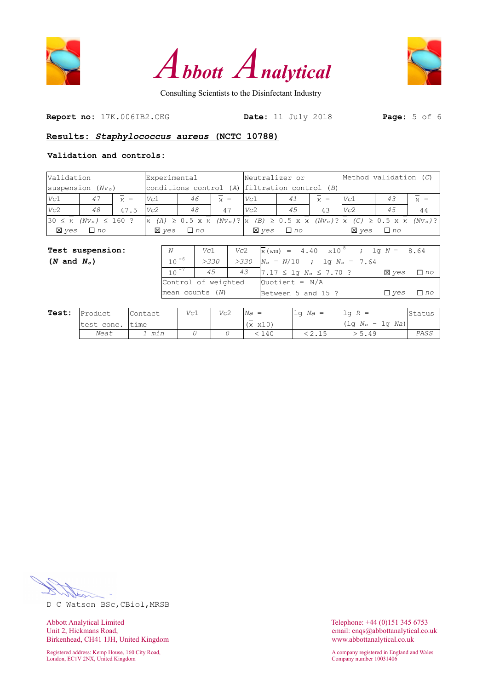





**Report no:** 17K.006IB2.CEG **Date:** 11 July 2018 **Page:** 5 of 6

### **Results:** *Staphylococcus aureus* **(NCTC 10788)**

### **Validation and controls:**

| Validation                                                                |                    | Experimental        |              |                   |           |                                               | Neutralizer or                                  |                                                                                                                                                       |           | Method validation (C) |                     |              |                   |                     |
|---------------------------------------------------------------------------|--------------------|---------------------|--------------|-------------------|-----------|-----------------------------------------------|-------------------------------------------------|-------------------------------------------------------------------------------------------------------------------------------------------------------|-----------|-----------------------|---------------------|--------------|-------------------|---------------------|
|                                                                           | suspension $(Nvo)$ |                     |              |                   |           | conditions control (A) filtration control (B) |                                                 |                                                                                                                                                       |           |                       |                     |              |                   |                     |
| Vc1                                                                       | 47                 | $\overline{\chi}$ = | Vc1          |                   | 46        | $\overline{\chi}$ =                           | Vc1                                             |                                                                                                                                                       | 41        |                       | $\overline{\chi}$ = | Vc1          | 43                | $\overline{\chi}$ = |
| Vc2                                                                       | 48                 | 47.5                | Vc2          |                   | 48        | 47                                            |                                                 | 45<br>Vc2                                                                                                                                             |           |                       | 43                  | Vc2          | 45                | 44                  |
| $30 \le \bar{x}$ (Nv <sub>o</sub> ) $\le 160$ ?<br>$\overline{\varkappa}$ |                    |                     |              |                   |           |                                               |                                                 | $(A) \ge 0.5 \times \overline{x}$ (Nv <sub>o</sub> )? $x$ (B) $\ge 0.5 \times \overline{x}$ (Nv <sub>o</sub> )? $x$ (C) $\ge 0.5 \times \overline{x}$ |           |                       |                     | $(Nvo)$ ?    |                   |                     |
| <b>X</b> yes                                                              | $\Box$ no          |                     | <b>X</b> yes |                   | $\Box$ no |                                               |                                                 | <b>X</b> yes                                                                                                                                          | $\Box$ no |                       |                     | <b>X</b> yes | $\Box$ no         |                     |
|                                                                           |                    |                     |              |                   |           |                                               |                                                 |                                                                                                                                                       |           |                       |                     |              |                   |                     |
|                                                                           | Test suspension:   |                     |              | Vc2<br>N<br>Vc1   |           |                                               | $\sqrt{x}$ (wm) = 4.40 $\times 10^{-8}$         |                                                                                                                                                       |           |                       |                     |              | ; lq $N =$        | 8.64                |
| $(N \text{ and } N_{\circ})$                                              |                    |                     |              | $10^{-6}$<br>>330 |           |                                               | >330<br>$N_{\rm o} = N/10$<br>; lq $N_o = 7.64$ |                                                                                                                                                       |           |                       |                     |              |                   |                     |
|                                                                           |                    |                     |              | $10^{-7}$<br>45   |           |                                               | 43                                              | $7.17 \leq \log N_o \leq 7.70$ ?                                                                                                                      |           |                       |                     | <b>X</b> yes | $\Box$ no         |                     |
|                                                                           |                    |                     |              |                   |           | Control of weighted                           | Ouotient = N/A                                  |                                                                                                                                                       |           |                       |                     |              |                   |                     |
|                                                                           |                    |                     |              | mean counts (N)   |           |                                               |                                                 |                                                                                                                                                       |           |                       | Between 5 and 15 ?  |              | $\Box$ yes        | $\Box$ no           |
|                                                                           |                    |                     |              |                   |           |                                               |                                                 |                                                                                                                                                       |           |                       |                     |              |                   |                     |
| Test:                                                                     | Product            |                     | Contact      | Vc1               |           | Vc2                                           | $Na =$                                          |                                                                                                                                                       |           |                       | $\log Na =$         | $\log R =$   |                   | Status              |
|                                                                           | test conc.         | time                |              |                   |           |                                               |                                                 | $(x \times 10)$                                                                                                                                       |           |                       |                     |              | $(1q No - 1q Na)$ |                     |

14 14 *Neat 1 min 0 0* < 140 < 2.15 > 5.49 *PASS*

D C Watson BSc,CBiol,MRSB

Abbott Analytical Limited<br>
Unit 2, Hickmans Road,<br>
Unit 2, Hickmans Road,<br>
Conservation of the Maria Conservation of the Maria Conservation of the Maria Conservation of the Maria Conservation of the Maria Conservation of t Birkenhead, CH41 1JH, United Kingdom www.abbottanalytical.co.uk

Registered address: Kemp House, 160 City Road, A company registered in England and Wales<br>
London, EC1V 2NX, United Kingdom<br>
A company number 10031406 London, EC1V 2NX, United Kingdom

email: enqs@abbottanalytical.co.uk